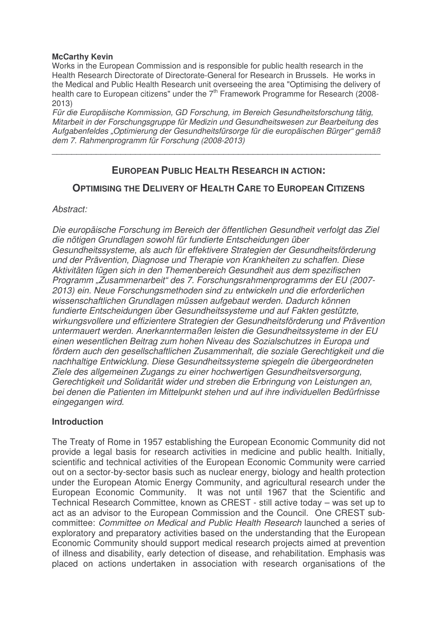#### **McCarthy Kevin**

Works in the European Commission and is responsible for public health research in the Health Research Directorate of Directorate-General for Research in Brussels. He works in the Medical and Public Health Research unit overseeing the area "Optimising the delivery of health care to European citizens" under the 7<sup>th</sup> Framework Programme for Research (2008-2013)

*Für die Europäische Kommission, GD Forschung, im Bereich Gesundheitsforschung tätig, Mitarbeit in der Forschungsgruppe für Medizin und Gesundheitswesen zur Bearbeitung des Aufgabenfeldes "Optimierung der Gesundheitsfürsorge für die europäischen Bürger" gemäß dem 7. Rahmenprogramm für Forschung (2008-2013)*

 $\overline{a_1}$  ,  $\overline{a_2}$  ,  $\overline{a_3}$  ,  $\overline{a_4}$  ,  $\overline{a_5}$  ,  $\overline{a_6}$  ,  $\overline{a_7}$  ,  $\overline{a_8}$  ,  $\overline{a_9}$  ,  $\overline{a_9}$  ,  $\overline{a_9}$  ,  $\overline{a_9}$  ,  $\overline{a_9}$  ,  $\overline{a_9}$  ,  $\overline{a_9}$  ,  $\overline{a_9}$  ,  $\overline{a_9}$  ,

# **EUROPEAN PUBLIC HEALTH RESEARCH IN ACTION:**

# **OPTIMISING THE DELIVERY OF HEALTH CARE TO EUROPEAN CITIZENS**

# *Abstract:*

*Die europäische Forschung im Bereich der öffentlichen Gesundheit verfolgt das Ziel die nötigen Grundlagen sowohl für fundierte Entscheidungen über Gesundheitssysteme, als auch für effektivere Strategien der Gesundheitsförderung und der Prävention, Diagnose und Therapie von Krankheiten zu schaffen. Diese Aktivitäten fügen sich in den Themenbereich Gesundheit aus dem spezifischen Programm "Zusammenarbeit" des 7. Forschungsrahmenprogramms der EU (2007- 2013) ein. Neue Forschungsmethoden sind zu entwickeln und die erforderlichen wissenschaftlichen Grundlagen müssen aufgebaut werden. Dadurch können fundierte Entscheidungen über Gesundheitssysteme und auf Fakten gestützte, wirkungsvollere und effizientere Strategien der Gesundheitsförderung und Prävention untermauert werden. Anerkanntermaßen leisten die Gesundheitssysteme in der EU einen wesentlichen Beitrag zum hohen Niveau des Sozialschutzes in Europa und fördern auch den gesellschaftlichen Zusammenhalt, die soziale Gerechtigkeit und die nachhaltige Entwicklung. Diese Gesundheitssysteme spiegeln die übergeordneten Ziele des allgemeinen Zugangs zu einer hochwertigen Gesundheitsversorgung, Gerechtigkeit und Solidarität wider und streben die Erbringung von Leistungen an, bei denen die Patienten im Mittelpunkt stehen und auf ihre individuellen Bedürfnisse eingegangen wird.*

# **Introduction**

The Treaty of Rome in 1957 establishing the European Economic Community did not provide a legal basis for research activities in medicine and public health. Initially, scientific and technical activities of the European Economic Community were carried out on a sector-by-sector basis such as nuclear energy, biology and health protection under the European Atomic Energy Community, and agricultural research under the European Economic Community. It was not until 1967 that the Scientific and Technical Research Committee, known as CREST - still active today – was set up to act as an advisor to the European Commission and the Council. One CREST subcommittee: *Committee on Medical and Public Health Research* launched a series of exploratory and preparatory activities based on the understanding that the European Economic Community should support medical research projects aimed at prevention of illness and disability, early detection of disease, and rehabilitation. Emphasis was placed on actions undertaken in association with research organisations of the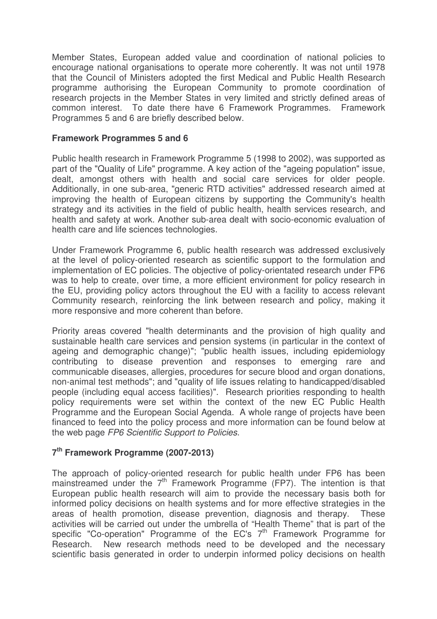Member States, European added value and coordination of national policies to encourage national organisations to operate more coherently. It was not until 1978 that the Council of Ministers adopted the first Medical and Public Health Research programme authorising the European Community to promote coordination of research projects in the Member States in very limited and strictly defined areas of common interest. To date there have 6 Framework Programmes. Framework Programmes 5 and 6 are briefly described below.

# **Framework Programmes 5 and 6**

Public health research in Framework Programme 5 (1998 to 2002), was supported as part of the "Quality of Life" programme. A key action of the "ageing population" issue, dealt, amongst others with health and social care services for older people. Additionally, in one sub-area, "generic RTD activities" addressed research aimed at improving the health of European citizens by supporting the Community's health strategy and its activities in the field of public health, health services research, and health and safety at work. Another sub-area dealt with socio-economic evaluation of health care and life sciences technologies.

Under Framework Programme 6, public health research was addressed exclusively at the level of policy-oriented research as scientific support to the formulation and implementation of EC policies. The objective of policy-orientated research under FP6 was to help to create, over time, a more efficient environment for policy research in the EU, providing policy actors throughout the EU with a facility to access relevant Community research, reinforcing the link between research and policy, making it more responsive and more coherent than before.

Priority areas covered "health determinants and the provision of high quality and sustainable health care services and pension systems (in particular in the context of ageing and demographic change)"; "public health issues, including epidemiology contributing to disease prevention and responses to emerging rare and communicable diseases, allergies, procedures for secure blood and organ donations, non-animal test methods"; and "quality of life issues relating to handicapped/disabled people (including equal access facilities)". Research priorities responding to health policy requirements were set within the context of the new EC Public Health Programme and the European Social Agenda. A whole range of projects have been financed to feed into the policy process and more information can be found below at the web page *FP6 Scientific Support to Policies*.

# **7 th Framework Programme (2007-2013)**

The approach of policy-oriented research for public health under FP6 has been mainstreamed under the 7<sup>th</sup> Framework Programme (FP7). The intention is that European public health research will aim to provide the necessary basis both for informed policy decisions on health systems and for more effective strategies in the areas of health promotion, disease prevention, diagnosis and therapy. These activities will be carried out under the umbrella of "Health Theme" that is part of the specific "Co-operation" Programme of the EC's  $7<sup>th</sup>$  Framework Programme for Research. New research methods need to be developed and the necessary scientific basis generated in order to underpin informed policy decisions on health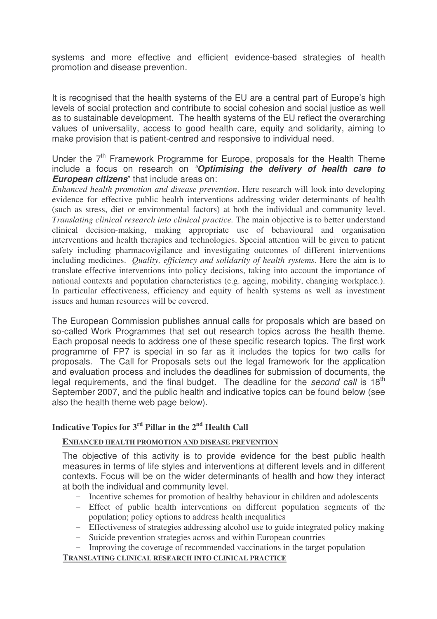systems and more effective and efficient evidence-based strategies of health promotion and disease prevention.

It is recognised that the health systems of the EU are a central part of Europe's high levels of social protection and contribute to social cohesion and social justice as well as to sustainable development. The health systems of the EU reflect the overarching values of universality, access to good health care, equity and solidarity, aiming to make provision that is patient-centred and responsive to individual need.

# Under the 7<sup>th</sup> Framework Programme for Europe, proposals for the Health Theme include a focus on research on *"Optimising the delivery of health care to European citizens*" that include areas on:

*Enhanced health promotion and disease prevention*. Here research will look into developing evidence for effective public health interventions addressing wider determinants of health (such as stress, diet or environmental factors) at both the individual and community level. *Translating clinical research into clinical practice.* The main objective is to better understand clinical decision-making, making appropriate use of behavioural and organisation interventions and health therapies and technologies. Special attention will be given to patient safety including pharmacovigilance and investigating outcomes of different interventions including medicines. *Quality, efficiency and solidarity of health systems.* Here the aim is to translate effective interventions into policy decisions, taking into account the importance of national contexts and population characteristics (e.g. ageing, mobility, changing workplace.). In particular effectiveness, efficiency and equity of health systems as well as investment issues and human resources will be covered.

The European Commission publishes annual calls for proposals which are based on so-called Work Programmes that set out research topics across the health theme. Each proposal needs to address one of these specific research topics. The first work programme of FP7 is special in so far as it includes the topics for two calls for proposals. The Call for Proposals sets out the legal framework for the application and evaluation process and includes the deadlines for submission of documents, the legal requirements, and the final budget. The deadline for the *second call* is 18<sup>th</sup> September 2007, and the public health and indicative topics can be found below (see also the health theme web page below).

# **Indicative Topics for 3 rd Pillar in the 2 nd Health Call**

# **ENHANCED HEALTH PROMOTION AND DISEASE PREVENTION**

The objective of this activity is to provide evidence for the best public health measures in terms of life styles and interventions at different levels and in different contexts. Focus will be on the wider determinants of health and how they interact at both the individual and community level.

- Incentive schemes for promotion of healthy behaviour in children and adolescents
- Effect of public health interventions on different population segments of the population; policy options to address health inequalities
- Effectiveness of strategies addressing alcohol use to guide integrated policy making
- Suicide prevention strategies across and within European countries
- Improving the coverage of recommended vaccinations in the target population

**TRANSLATING CLINICAL RESEARCH INTO CLINICAL PRACTICE**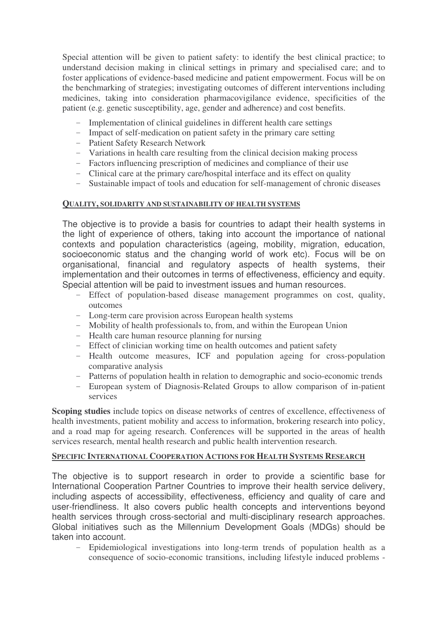Special attention will be given to patient safety: to identify the best clinical practice; to understand decision making in clinical settings in primary and specialised care; and to foster applications of evidence-based medicine and patient empowerment. Focus will be on the benchmarking of strategies; investigating outcomes of different interventions including medicines, taking into consideration pharmacovigilance evidence, specificities of the patient (e.g. genetic susceptibility, age, gender and adherence) and cost benefits.

- Implementation of clinical guidelines in different health care settings
- Impact of self-medication on patient safety in the primary care setting
- Patient Safety Research Network
- Variations in health care resulting from the clinical decision making process
- Factors influencing prescription of medicines and compliance of their use
- Clinical care at the primary care/hospital interface and its effect on quality
- Sustainable impact of tools and education for self-management of chronic diseases

#### **QUALITY, SOLIDARITY AND SUSTAINABILITY OF HEALTH SYSTEMS**

The objective is to provide a basis for countries to adapt their health systems in the light of experience of others, taking into account the importance of national contexts and population characteristics (ageing, mobility, migration, education, socioeconomic status and the changing world of work etc). Focus will be on organisational, financial and regulatory aspects of health systems, their implementation and their outcomes in terms of effectiveness, efficiency and equity. Special attention will be paid to investment issues and human resources.

- Effect of population-based disease management programmes on cost, quality, outcomes
- Long-term care provision across European health systems
- Mobility of health professionals to, from, and within the European Union
- Health care human resource planning for nursing
- Effect of clinician working time on health outcomes and patient safety
- Health outcome measures, ICF and population ageing for cross-population comparative analysis
- Patterns of population health in relation to demographic and socio-economic trends
- European system of Diagnosis-Related Groups to allow comparison of in-patient services

**Scoping studies** include topics on disease networks of centres of excellence, effectiveness of health investments, patient mobility and access to information, brokering research into policy, and a road map for ageing research. Conferences will be supported in the areas of health services research, mental health research and public health intervention research.

#### **SPECIFIC INTERNATIONAL COOPERATION ACTIONS FOR HEALTH SYSTEMS RESEARCH**

The objective is to support research in order to provide a scientific base for International Cooperation Partner Countries to improve their health service delivery, including aspects of accessibility, effectiveness, efficiency and quality of care and user-friendliness. It also covers public health concepts and interventions beyond health services through cross-sectorial and multi-disciplinary research approaches. Global initiatives such as the Millennium Development Goals (MDGs) should be taken into account.

- Epidemiological investigations into long-term trends of population health as a consequence of socio-economic transitions, including lifestyle induced problems -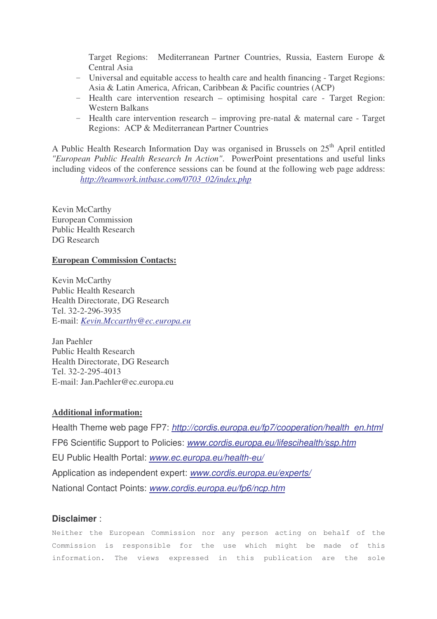Target Regions: Mediterranean Partner Countries, Russia, Eastern Europe & Central Asia

- Universal and equitable access to health care and health financing Target Regions: Asia & Latin America, African, Caribbean & Pacific countries (ACP)
- Health care intervention research optimising hospital care Target Region: Western Balkans
- Health care intervention research improving pre-natal & maternal care Target Regions: ACP & Mediterranean Partner Countries

A Public Health Research Information Day was organised in Brussels on 25<sup>th</sup> April entitled *"European Public Health Research In Action"*. PowerPoint presentations and useful links including videos of the conference sessions can be found at the following web page address: *http://teamwork.intbase.com/0703\_02/index.php*

Kevin McCarthy European Commission Public Health Research DG Research

#### **European Commission Contacts:**

Kevin McCarthy Public Health Research Health Directorate, DG Research Tel. 32-2-296-3935 E-mail: *Kevin.Mccarthy@ec.europa.eu*

Jan Paehler Public Health Research Health Directorate, DG Research Tel. 32-2-295-4013 E-mail: Jan.Paehler@ec.europa.eu

# **Additional information:**

Health Theme web page FP7: *http://cordis.europa.eu/fp7/cooperation/health\_en.html* FP6 Scientific Support to Policies: *www.cordis.europa.eu/lifescihealth/ssp.htm* EU Public Health Portal: *www.ec.europa.eu/health-eu/* Application as independent expert: *www.cordis.europa.eu/experts/* National Contact Points: *www.cordis.europa.eu/fp6/ncp.htm*

# **Disclaimer** :

Neither the European Commission nor any person acting on behalf of the Commission is responsible for the use which might be made of this information. The views expressed in this publication are the sole